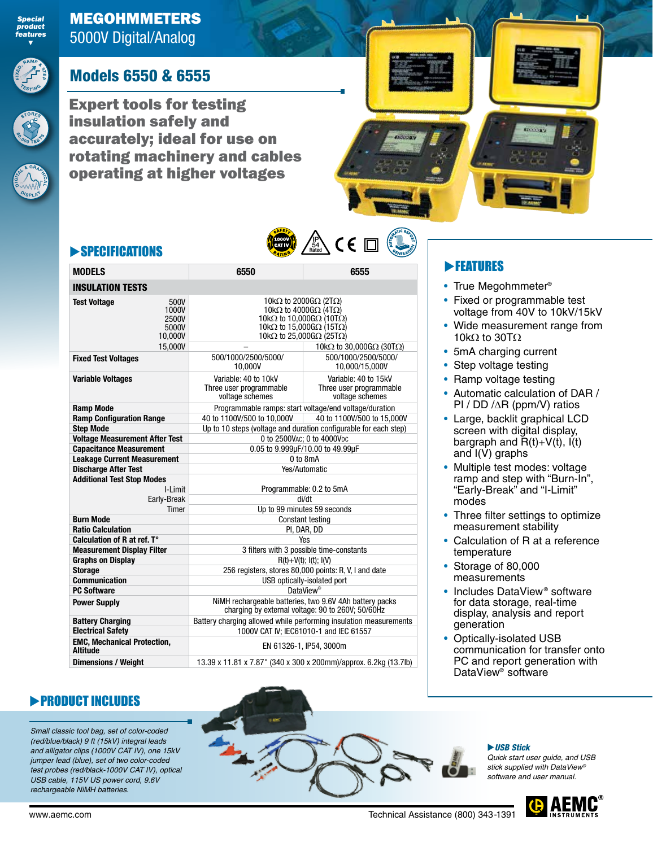

**<sup>S</sup>TORE<sup>S</sup>**

**8 0 ,<sup>0</sup> <sup>0</sup> <sup>0</sup> <sup>T</sup>** $E = S^{S}$ 

**E**<br> **B I C**<br> **B I A I A** 

**D ISPLA** 

*Special product features ▼*

# Models 6550 & 6555

Expert tools for testing insulation safely and accurately; ideal for use on rotating machinery and cables operating at higher voltages



## **SPECIFICATIONS**

| <b>MODELS</b>                                                                | 6550<br>6555                                                                                                                                                                                                                                                                                                   |                                                                    |  |  |  |  |
|------------------------------------------------------------------------------|----------------------------------------------------------------------------------------------------------------------------------------------------------------------------------------------------------------------------------------------------------------------------------------------------------------|--------------------------------------------------------------------|--|--|--|--|
| <b>INSULATION TESTS</b>                                                      |                                                                                                                                                                                                                                                                                                                |                                                                    |  |  |  |  |
| 500V<br><b>Test Voltage</b><br>1000V<br>2500V<br>5000V<br>10,000V<br>15,000V | 10k $\Omega$ to 2000G $\Omega$ (2T $\Omega$ )<br>10k $\Omega$ to 4000G $\Omega$ (4T $\Omega$ )<br>10k $\Omega$ to 10,000G $\Omega$ (10T $\Omega$ )<br>10k $\Omega$ to 15,000G $\Omega$ (15T $\Omega$ )<br>10k $\Omega$ to 25,000G $\Omega$ (25T $\Omega$ )<br>10k $\Omega$ to 30,000G $\Omega$ (30T $\Omega$ ) |                                                                    |  |  |  |  |
| <b>Fixed Test Voltages</b>                                                   | 500/1000/2500/5000/<br>10,000V                                                                                                                                                                                                                                                                                 | 500/1000/2500/5000/<br>10,000/15,000V                              |  |  |  |  |
| <b>Variable Voltages</b>                                                     | Variable: 40 to 10kV<br>Three user programmable<br>voltage schemes                                                                                                                                                                                                                                             | Variable: 40 to 15kV<br>Three user programmable<br>voltage schemes |  |  |  |  |
| <b>Ramp Mode</b>                                                             |                                                                                                                                                                                                                                                                                                                | Programmable ramps: start voltage/end voltage/duration             |  |  |  |  |
| <b>Ramp Configuration Range</b>                                              | 40 to 1100V/500 to 10,000V                                                                                                                                                                                                                                                                                     | 40 to 1100V/500 to 15,000V                                         |  |  |  |  |
| <b>Step Mode</b>                                                             |                                                                                                                                                                                                                                                                                                                | Up to 10 steps (voltage and duration configurable for each step)   |  |  |  |  |
| <b>Voltage Measurement After Test</b>                                        |                                                                                                                                                                                                                                                                                                                | 0 to 2500VAC; 0 to 4000VDC                                         |  |  |  |  |
| <b>Capacitance Measurement</b>                                               |                                                                                                                                                                                                                                                                                                                | 0.05 to 9.999µF/10.00 to 49.99µF                                   |  |  |  |  |
| <b>Leakage Current Measurement</b>                                           |                                                                                                                                                                                                                                                                                                                | 0 to 8mA                                                           |  |  |  |  |
| <b>Discharge After Test</b>                                                  |                                                                                                                                                                                                                                                                                                                | Yes/Automatic                                                      |  |  |  |  |
| <b>Additional Test Stop Modes</b><br>I-Limit                                 |                                                                                                                                                                                                                                                                                                                |                                                                    |  |  |  |  |
| Early-Break                                                                  |                                                                                                                                                                                                                                                                                                                | Programmable: 0.2 to 5mA<br>di/dt                                  |  |  |  |  |
| Timer                                                                        |                                                                                                                                                                                                                                                                                                                | Up to 99 minutes 59 seconds                                        |  |  |  |  |
| <b>Burn Mode</b>                                                             |                                                                                                                                                                                                                                                                                                                | Constant testing                                                   |  |  |  |  |
| <b>Ratio Calculation</b>                                                     |                                                                                                                                                                                                                                                                                                                | PI, DAR, DD                                                        |  |  |  |  |
| Calculation of R at ref. T°                                                  |                                                                                                                                                                                                                                                                                                                | Yes                                                                |  |  |  |  |
| <b>Measurement Display Filter</b>                                            | 3 filters with 3 possible time-constants                                                                                                                                                                                                                                                                       |                                                                    |  |  |  |  |
| <b>Graphs on Display</b>                                                     |                                                                                                                                                                                                                                                                                                                | $R(t)+V(t)$ ; $I(t)$ ; $I(V)$                                      |  |  |  |  |
| <b>Storage</b>                                                               | 256 registers, stores 80,000 points: R, V, I and date                                                                                                                                                                                                                                                          |                                                                    |  |  |  |  |
| <b>Communication</b>                                                         | USB optically-isolated port                                                                                                                                                                                                                                                                                    |                                                                    |  |  |  |  |
| <b>PC Software</b>                                                           |                                                                                                                                                                                                                                                                                                                | DataView <sup>®</sup>                                              |  |  |  |  |
| <b>Power Supply</b>                                                          | NiMH rechargeable batteries, two 9.6V 4Ah battery packs<br>charging by external voltage: 90 to 260V; 50/60Hz                                                                                                                                                                                                   |                                                                    |  |  |  |  |
| <b>Battery Charging</b>                                                      | Battery charging allowed while performing insulation measurements                                                                                                                                                                                                                                              |                                                                    |  |  |  |  |
| <b>Electrical Safety</b>                                                     |                                                                                                                                                                                                                                                                                                                | 1000V CAT IV: IEC61010-1 and IEC 61557                             |  |  |  |  |
| <b>EMC, Mechanical Protection,</b><br><b>Altitude</b>                        |                                                                                                                                                                                                                                                                                                                | EN 61326-1, IP54, 3000m                                            |  |  |  |  |
| <b>Dimensions / Weight</b>                                                   |                                                                                                                                                                                                                                                                                                                | 13.39 x 11.81 x 7.87" (340 x 300 x 200mm)/approx. 6.2kg (13.7lb)   |  |  |  |  |

IP Rated 54

## **FEATURES**

- True Megohmmeter®
- Fixed or programmable test voltage from 40V to 10kV/15kV
- Wide measurement range from 10kΩ to 30TΩ
- 5mA charging current
- Step voltage testing
- Ramp voltage testing
- Automatic calculation of DAR / PI / DD /∆R (ppm/V) ratios
- Large, backlit graphical LCD screen with digital display, bargraph and  $\overline{R}(t)+V(t)$ ,  $\overline{I}(t)$ and  $I(V)$  graphs
- Multiple test modes: voltage ramp and step with "Burn-In", "Early-Break" and "I-Limit" modes
- Three filter settings to optimize measurement stability
- Calculation of R at a reference temperature
- Storage of 80,000 measurements
- Includes DataView<sup>®</sup> software for data storage, real-time display, analysis and report generation
- Optically-isolated USB communication for transfer onto PC and report generation with DataView<sup>®</sup> software

## **PRODUCT INCLUDES**

*Small classic tool bag, set of color-coded (red/blue/black) 9 ft (15kV) integral leads and alligator clips (1000V CAT IV), one 15kV jumper lead (blue), set of two color-coded test probes (red/black-1000V CAT IV), optical USB cable, 115V US power cord, 9.6V rechargeable NiMH batteries.*



#### *USB Stick*

*Quick start user guide, and USB stick supplied with DataView® software and user manual.* 

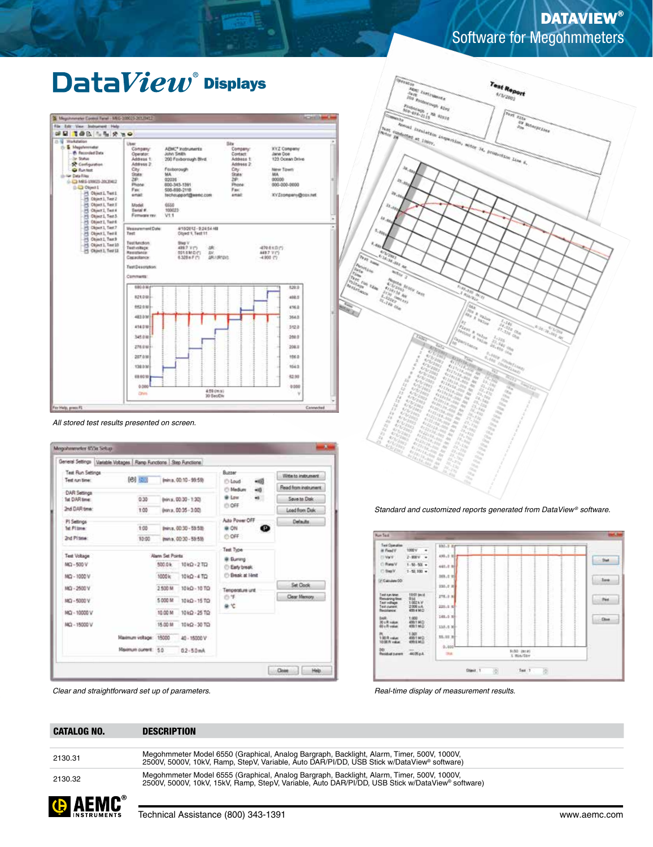# **DATAVIEW®** Software for Megohmmeters

# $\mathbf{Data}View^*$  Displays



*All stored test results presented on screen.*

|                     | General Settings   Variable Voltages   Ramp Functions   Step Functions |                        |                       |                               |                       |  |
|---------------------|------------------------------------------------------------------------|------------------------|-----------------------|-------------------------------|-----------------------|--|
| Test Run Settings   |                                                                        |                        |                       | Burner                        | Within to instrument. |  |
| Text cut fine:      | (2) 星期<br>Ininia, 00:10 - 99:59)                                       |                        |                       | i <sup>n</sup> Loud<br>$+00$  |                       |  |
| <b>DAR Settings</b> |                                                                        |                        |                       | <b>Ci Medium</b><br>$-6$      | Read from instrument. |  |
| Tel DAR time:       | 0.30                                                                   | (min.s., 00:30 - 1:30) |                       | @ Low<br>$\sim$               | Save to Dak           |  |
| 2nd DAR time:       | 1.00                                                                   |                        | (ren.s. 00:35 - 3:00) | <b>ID OFF</b>                 | Load from Disk        |  |
| PI Settings         | 1:00<br>Ininxx, 00:30 - 55.535                                         |                        | Auto Power OFF        | Delauta.                      |                       |  |
| Tel: Pittmer:       |                                                                        |                        |                       | @ ON<br>o                     |                       |  |
| <b>2nd Pitime:</b>  | 10:00                                                                  | Imma. 00:30 - 59:59)   |                       | OFF:                          |                       |  |
|                     |                                                                        |                        |                       | Test Type                     |                       |  |
| Test Voltage        |                                                                        | Alann Set Points       |                       | @ Eurens                      |                       |  |
| $M\Omega - 500V$    |                                                                        | 500.0k                 | 10kg - 2 TD           | C Early break                 |                       |  |
| MQ - 1000 V         |                                                                        | 1000 kc                | 10kQ - 4 TQ           | <sup>(1)</sup> Break at Herit |                       |  |
| <b>MG-2500V</b>     |                                                                        | 2 500 M                | 1040 - 10 TO          | Temperature unit              | <b>Set Cook</b>       |  |
| MQ - 5000 V         |                                                                        | 5 000 M                | 1040 - 15 TO          | ◎羊                            | Clear Memory          |  |
|                     |                                                                        |                        |                       | 無竹                            |                       |  |
| MQ - 10000 V        |                                                                        | 10.00 M                | 10 kg - 25 TQ         |                               |                       |  |
| MQ - 15000 V        |                                                                        | 15.00 M                | 10kQ - 30 TQ          |                               |                       |  |
|                     | Maximum voltage: 15000                                                 |                        | 40 - 15000 V          |                               |                       |  |
|                     | Maximum current: 5.0.                                                  |                        | $02 - 50$ mA          |                               |                       |  |

*Clear and straightforward set up of parameters.*





*Standard and customized reports generated from DataView ® software.*

*Real-time display of measurement results.*

CATALOG NO. DESCRIPTION

2130.31 Megohmmeter Model 6550 (Graphical, Analog Bargraph, Backlight, Alarm, Timer, 500V, 1000V, 2500V, 5000V, 10kV, Ramp, StepV, Variable, Auto DAR/PI/DD, USB Stick w/DataView® software)

2130.32 Megohmmeter Model 6555 (Graphical, Analog Bargraph, Backlight, Alarm, Timer, 500V, 1000V, 2500V, 5000V, 10kV, 15kV, Ramp, StepV, Variable, Auto DAR/PI/DD, USB Stick w/DataView® software)